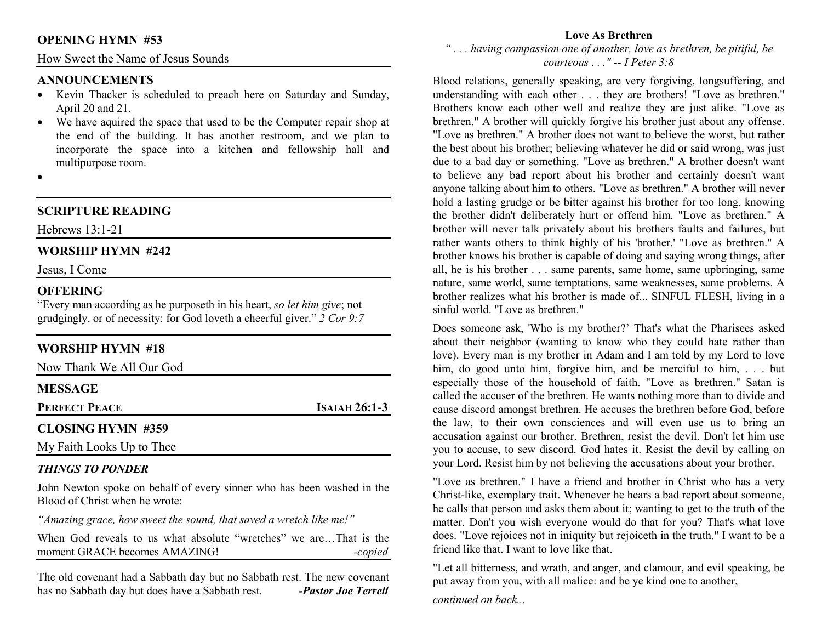### **OPENING HYMN #53**

How Sweet the Name of Jesus Sounds

#### **ANNOUNCEMENTS**

- Kevin Thacker is scheduled to preach here on Saturday and Sunday, April 20 and 21.
- We have aquired the space that used to be the Computer repair shop at the end of the building. It has another restroom, and we plan to incorporate the space into a kitchen and fellowship hall and multipurpose room.
- •

# **SCRIPTURE READING**

Hebrews 13:1-21

## **WORSHIP HYMN #242**

Jesus, I Come

#### **OFFERING**

 "Every man according as he purposeth in his heart, *so let him give*; not grudgingly, or of necessity: for God loveth a cheerful giver." *2 Cor 9:7*

## **WORSHIP HYMN #18**

Now Thank We All Our God

#### **MESSAGE**

**PERFECT PEACE**

**<sup>I</sup>SAIAH 26:1-3** 

## **CLOSING HYMN #359**

My Faith Looks Up to Thee

#### *THINGS TO PONDER*

 John Newton spoke on behalf of every sinner who has been washed in the Blood of Christ when he wrote:

*"Amazing grace, how sweet the sound, that saved a wretch like me!"*

When God reveals to us what absolute "wretches" we are…That is the moment GRACE becomes AMAZING! *-copied*

The old covenant had a Sabbath day but no Sabbath rest. The new covenant has no Sabbath day but does have a Sabbath rest. *-Pastor Joe Terrell*

#### **Love As Brethren**

 *" . . . having compassion one of another, love as brethren, be pitiful, be courteous . . ." -- I Peter 3:8* 

Blood relations, generally speaking, are very forgiving, longsuffering, and understanding with each other . . . they are brothers! "Love as brethren." Brothers know each other well and realize they are just alike. "Love as brethren." A brother will quickly forgive his brother just about any offense. "Love as brethren." A brother does not want to believe the worst, but rather the best about his brother; believing whatever he did or said wrong, was just due to a bad day or something. "Love as brethren." A brother doesn't want to believe any bad report about his brother and certainly doesn't want anyone talking about him to others. "Love as brethren." A brother will never hold a lasting grudge or be bitter against his brother for too long, knowing the brother didn't deliberately hurt or offend him. "Love as brethren." A brother will never talk privately about his brothers faults and failures, but rather wants others to think highly of his 'brother.' "Love as brethren." A brother knows his brother is capable of doing and saying wrong things, after all, he is his brother . . . same parents, same home, same upbringing, same nature, same world, same temptations, same weaknesses, same problems. A brother realizes what his brother is made of... SINFUL FLESH, living in a sinful world. "Love as brethren."

Does someone ask, 'Who is my brother?' That's what the Pharisees asked about their neighbor (wanting to know who they could hate rather than love). Every man is my brother in Adam and I am told by my Lord to love him, do good unto him, forgive him, and be merciful to him, . . . but especially those of the household of faith. "Love as brethren." Satan is called the accuser of the brethren. He wants nothing more than to divide and cause discord amongst brethren. He accuses the brethren before God, before the law, to their own consciences and will even use us to bring an accusation against our brother. Brethren, resist the devil. Don't let him use you to accuse, to sew discord. God hates it. Resist the devil by calling on your Lord. Resist him by not believing the accusations about your brother.

"Love as brethren." I have a friend and brother in Christ who has a very Christ-like, exemplary trait. Whenever he hears a bad report about someone, he calls that person and asks them about it; wanting to get to the truth of the matter. Don't you wish everyone would do that for you? That's what love does. "Love rejoices not in iniquity but rejoiceth in the truth." I want to be a friend like that. I want to love like that.

"Let all bitterness, and wrath, and anger, and clamour, and evil speaking, be put away from you, with all malice: and be ye kind one to another,

*continued on back...*